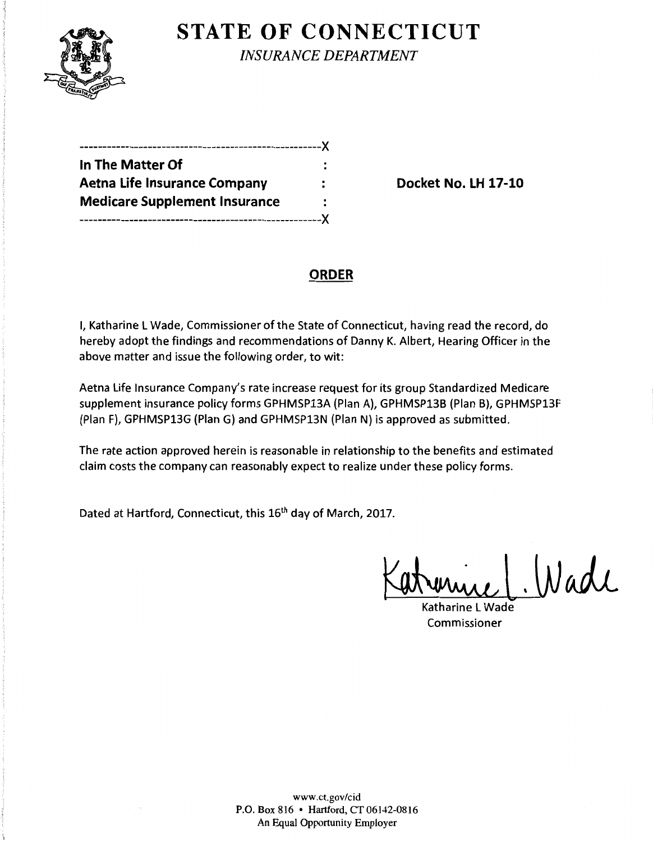

**STATE OF CONNECTICUT** 

*INSURANCE DEPARTMENT* 

| -----------------------X             |   |
|--------------------------------------|---|
| In The Matter Of                     |   |
| <b>Aetna Life Insurance Company</b>  |   |
| <b>Medicare Supplement Insurance</b> | ∶ |
|                                      |   |

**Docket No. LH 17-10** 

## **ORDER**

I, Katharine L Wade, Commissioner of the State of Connecticut, having read the record, do hereby adopt the findings and recommendations of Danny K. Albert, Hearing Officer in the above matter and issue the following order, to wit:

Aetna Life Insurance Company's rate increase request for its group Standardized Medicare supplement insurance policy forms GPHMSP13A (Plan A), GPHMSP13B (Plan B), GPHMSP13F (Plan F), GPHMSP13G (Plan G) and GPHMSP13N (Plan N) is approved as submitted.

The rate action approved herein is reasonable in relationship to the benefits and estimated claim costs the company can reasonably expect to realize under these policy forms.

Dated at Hartford, Connecticut, this 16<sup>th</sup> day of March, 2017.

renier L. Wade

Commissioner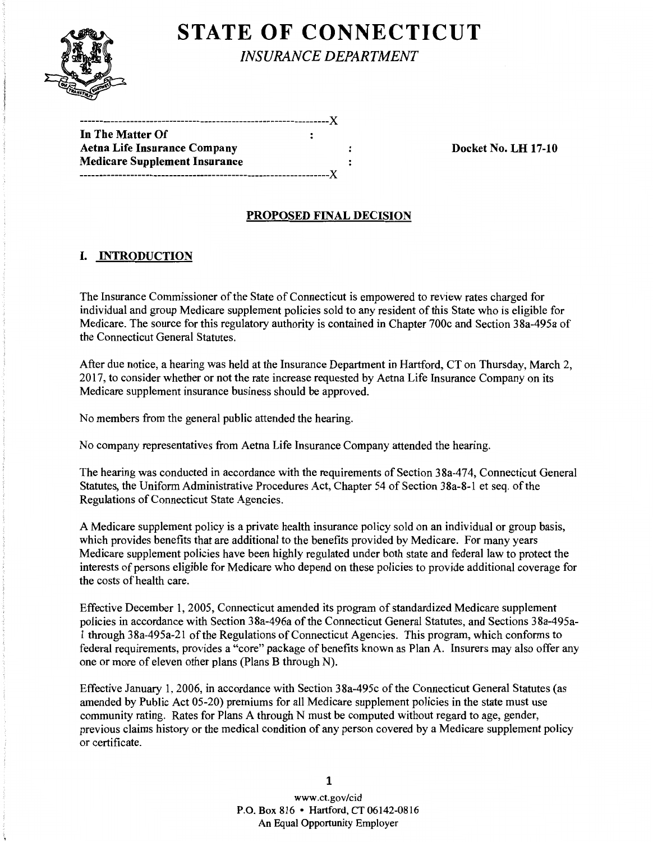

# **STATE OF CONNECTICUT**

*INSURANCE DEPARTMENT* 

| In The Matter Of                     | : |  |
|--------------------------------------|---|--|
| Aetna Life Insurance Company         |   |  |
| <b>Medicare Supplement Insurance</b> |   |  |
|                                      |   |  |

Are Life Insurance Control Docket No. LH 17-10

### PROPOSED FINAL DECISION

## I. INTRODUCTION

The Insurance Commissioner of the State of Connecticut is empowered to review rates charged for individual and group Medicare supplement policies sold to any resident of this State who is eligible for Medicare. The source for this regulatory authority is contained in Chapter 700c and Section 38a-495a of the Connecticut General Statutes.

After due notice, a hearing was held at the Insurance Department in Hartford, CT on Thursday, March 2, 2017, to consider whether or not the rate increase requested by Aetna Life Insurance Company on its Medicare supplement insurance business should be approved.

No members from the general public attended the hearing.

No company representatives from Aetna Life Insurance Company attended the hearing.

The hearing was conducted in accordance with the requirements of Section 38a-474, Connecticut General Statutes, the Uniform Administrative Procedures Act, Chapter 54 of Section 38a-8-1 et seq. of the Regulations of Connecticut State Agencies.

A Medicare supplement policy is a private health insurance policy sold on an individual or group basis, which provides benefits that are additional to the benefits provided by Medicare. For many years Medicare supplement policies have been highly regulated under both state and federal law to protect the interests of persons eligible for Medicare who depend on these policies to provide additional coverage for the costs of health care.

Effective December 1, 2005, Connecticut amended its program of standardized Medicare supplement policies in accordance with Section 38a-496a of the Connecticut General Statutes, and Sections 38a-495a-1 through 38a-495a-21 ofthe Regulations of Connecticut Agencies. This program, which conforms to federal requirements, provides a "core" package of benefits known as Plan A. Insurers may also offer any one or more of eleven other plans (Plans B through N).

Effective January 1, 2006, in accordance with Section 38a-495c of the Connecticut General Statutes (as amended by Public Act 05-20) premiums for all Medicare supplement policies in the state must use community rating. Rates for Plans A through N must be computed without regard to age, gender, previous claims history or the medical condition of any person covered by a Medicare supplement policy or certificate.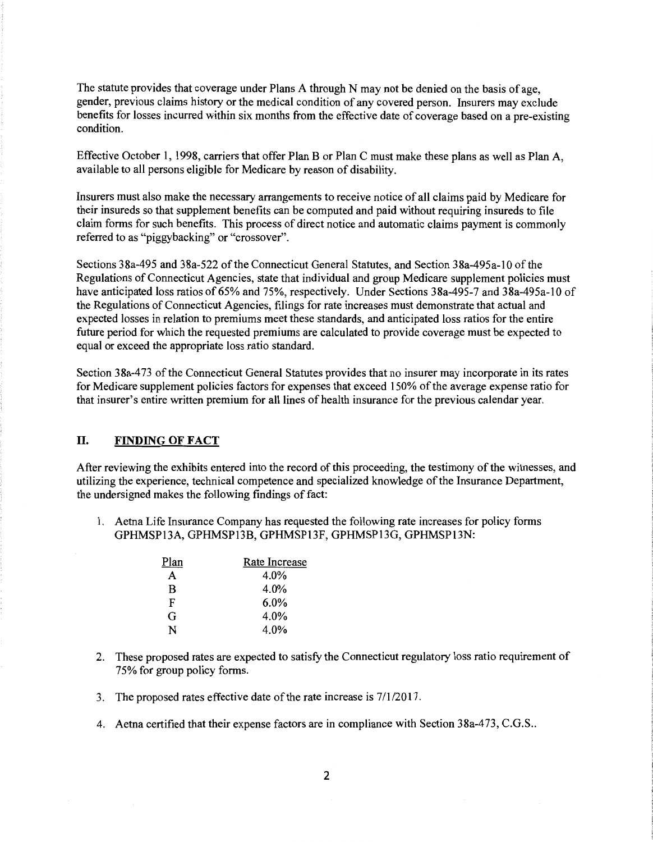The statute provides that coverage under Plans A through N may not be denied on the basis of age, gender, previous claims history or the medical condition of any covered person. Insurers may exclude benefits for losses incurred within six months from the effective date of coverage based on a pre-existing condition.

Effective October 1, 1998, carriers that offer Plan B or Plan C must make these plans as well as Plan A, available to all persons eligible for Medicare by reason of disability.

Insurers must also make the necessary arrangements to receive notice ofall claims paid by Medicare for their insureds so that supplement benefits can be computed and paid without requiring insureds to file claim forms for such benefits. This process of direct notice and automatic claims payment is commonly referred to as "piggybacking" or "crossover".

Sections 38a-495 and 38a-522 of the Connecticut General Statutes, and Section 38a-495a-10 of the Regulations of Connecticut Agencies, state that individual and group Medicare supplement policies must have anticipated loss ratios of 65% and 75%, respectively. Under Sections 38a-495-7 and 38a-495a-10 of the Regulations of Connecticut Agencies, filings for rate increases must demonstrate that actual and expected losses in relation to premiums meet these standards, and anticipated loss ratios for the entire future period for which the requested premiums are calculated to provide coverage must be expected to equal or exceed the appropriate loss ratio standard.

Section 38a-473 of the Connecticut General Statutes provides that no insurer may incorporate in its rates for Medicare supplement policies factors for expenses that exceed 150% of the average expense ratio for that insurer's entire written premium for all lines of health insurance for the previous calendar year.

#### II. FINDING **OF FACT**

After reviewing the exhibits entered into the record of this proceeding, the testimony of the witnesses, and utilizing the experience, technical competence and specialized knowledge of the Insurance Department, the undersigned makes the following findings of fact:

1. Aetna Life Insurance Company has requested the following rate increases for policy forms GPHMSP13A, GPHMSP13B, GPHMSP13F, GPHMSP13G, GPHMSP13N:

| Plan | Rate Increase |
|------|---------------|
| А    | 4.0%          |
| B    | 4.0%          |
| F    | $6.0\%$       |
| G    | 4.0%          |
| N    | 4.0%          |

- 2. These proposed rates are expected to satisfy the Connecticut regulatory loss ratio requirement of 75% for group policy forms.
- 3. The proposed rates effective date of the rate increase is  $7/1/2017$ .
- 4. Aetna certified that their expense factors are in compliance with Section 38a-473, C.G.S..